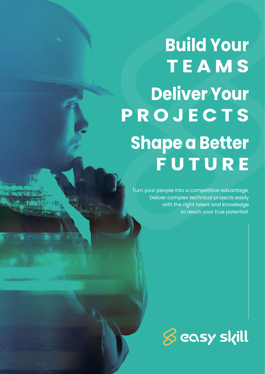### **Build Your TEAMS Deliver Your PROJECTS Shape a Better FUTURE**

Turn your people into a competitive advantage. Deliver complex technical projects easily with the right talent and knowledge to reach your true potential.

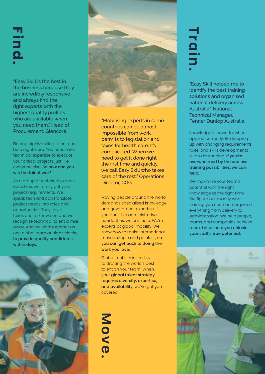## **Find.**

"Easy Skill is the best in the business because they are incredibly responsive and always find the right experts with the highest quality profiles who are available when you need them," Head of Procurement, Glencore.

Finding highly-skilled talent can be a nightmare. You need rare, technical expertise to execute your critical projects just like everyone else. So how can you win the talent war?

As a group of technical experts ourselves, we totally get your project requirements. We speak tech and can translate project needs into roles and opportunities. They say it takes one to know one and we recognise technical talent a mile away. And we work together as one global team at high velocity to provide quality candidates within days.





"Mobilising experts in some countries can be almost impossible from work permits to legislation and taxes for health care. It's complicated. When we need to get it done right the first time and quickly, we call Easy Skill who takes care of the rest," Operations Director, CGG.

Moving people around the world demands specialised knowledge and government expertise. If you don't like administrative headaches, we can help. We're experts at global mobility. We know how to make international moves simple and painless, so you can get back to doing the work you love.

Global mobility is the key to drafting the world's best talent on your team. When your global talent strategy requires diversity, expertise, and availability, we've got you covered.

**Move.**

# **Train.**

"Easy Skill helped me to identify the best training solutions and organised national delivery across Australia," National Technical Manager, Fenner Dunlop Australia.

Knowledge is powerful when applied correctly. But keeping up with changing requirements, rules, and skills developments is too demanding. If you're overwhelmed by the endless training possibilities, we can help.

We maximise your team's potential with the right knowledge at the right time. We figure out exactly what training you need and organise everything from delivery to administration. We help people, teams, and companies achieve more. Let us help you unlock your staff's true potential.

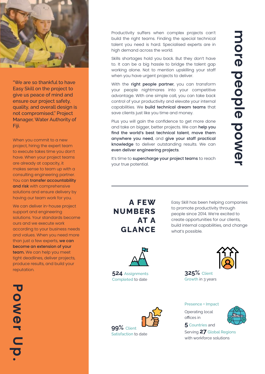

"We are so thankful to have Easy Skill on the project to give us peace of mind and ensure our project safety, quality, and overall design is not compromised," Project Manager, Water Authority of Fiji.

When you commit to a new project, hiring the expert team to execute takes time you don't have. When your project teams are already at capacity, it makes sense to team up with a consulting engineering partner. You can transfer accountability and risk with comprehensive solutions and ensure delivery by having our team work for you.

We can deliver in-house project support and engineering solutions. Your standards become ours and we execute work according to your business needs and values. When you need more than just a few experts, we can become an extension of your team. We can help you meet tight deadlines, deliver projects, produce results, and build your reputation.

Productivity suffers when complex projects can't build the right teams. Finding the special technical talent you need is hard. Specialised experts are in high demand across the world.

Skills shortages hold you back. But they don't have to. It can be a big hassle to bridge the talent gap working alone. Not to mention upskilling your staff when you have urgent projects to deliver.

With the right people partner, you can transform your people nightmares into your competitive advantage. With one simple call, you can take back control of your productivity and elevate your internal capabilities. We build technical dream teams that save clients just like you time and money.

Plus you will gain the confidence to get more done and take on bigger, better projects. We can help you find the world's best technical talent, move them anywhere you need, and give your staff practical knowledge to deliver outstanding results. We can even deliver engineering projects.

It's time to supercharge your project teams to reach your true potential.

#### A FEW NUMBERS AT A GLANCE

Easy Skill has been helping companies to promote productivity through people since 2014. We're excited to create opportunities for our clients, build internal capabilities, and change what's possible.



524 Assignments Completed to date

**325%** Client



Growth in 3 years

#### Presence + Impact

Operating local offices in 5 Countries and



Serving 27 Global Regions with workforce solutions